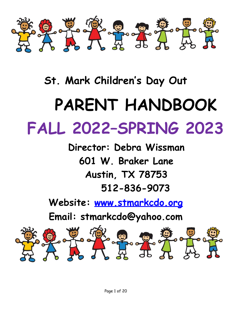

## **St. Mark Children' s Day Out**

## **PARENT HANDBOOK FALL 2022–SPRING 2023**

**Director: Debra Wissman 601 W. Braker Lane Austin, TX 78753 512-836-9073**

**Website: [www.stmarkcdo.org](http://www.stmarkcdo.org/)**

**Email: stmarkcdo@yahoo.com**

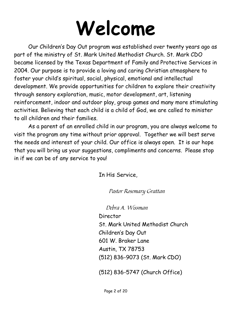# **Welcome**

Our Children's Day Out program was established over twenty years ago as part of the ministry of St. Mark United Methodist Church. St. Mark CDO became licensed by the Texas Department of Family and Protective Services in 2004. Our purpose is to provide a loving and caring Christian atmosphere to foster your child's spiritual, social, physical, emotional and intellectual development. We provide opportunities for children to explore their creativity through sensory exploration, music, motor development, art, listening reinforcement, indoor and outdoor play, group games and many more stimulating activities. Believing that each child is a child of God, we are called to minister to all children and their families.

As a parent of an enrolled child in our program, you are always welcome to visit the program any time without prior approval. Together we will best serve the needs and interest of your child. Our office is always open. It is our hope that you will bring us your suggestions, compliments and concerns. Please stop in if we can be of any service to you!

In His Service,

Pastor Rosemary Grattan

Debra A. Wissman

Director St. Mark United Methodist Church Children's Day Out 601 W. Braker Lane Austin, TX 78753 (512) 836-9073 (St. Mark CDO)

(512) 836-5747 (Church Office)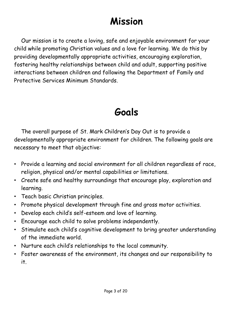## **Mission**

Our mission is to create a loving, safe and enjoyable environment for your child while promoting Christian values and a love for learning. We do this by providing developmentally appropriate activities, encouraging exploration, fostering healthy relationships between child and adult, supporting positive interactions between children and following the Department of Family and Protective Services Minimum Standards.

## **Goals**

The overall purpose of St. Mark Children's Day Out is to provide a developmentally appropriate environment for children. The following goals are necessary to meet that objective:

- Provide a learning and social environment for all children regardless of race, religion, physical and/or mental capabilities or limitations.
- Create safe and healthy surroundings that encourage play, exploration and learning.
- Teach basic Christian principles.
- Promote physical development through fine and gross motor activities.
- Develop each child's self-esteem and love of learning.
- Encourage each child to solve problems independently.
- Stimulate each child's cognitive development to bring greater understanding of the immediate world.
- Nurture each child's relationships to the local community.
- Foster awareness of the environment, its changes and our responsibility to it.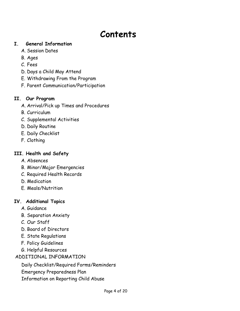## **Contents**

#### **I. General Information**

- A. Session Dates
- B. Ages
- C. Fees
- D. Days a Child May Attend
- E. Withdrawing From the Program
- F. Parent Communication/Participation

#### **II. Our Program**

- A. Arrival/Pick up Times and Procedures
- B. Curriculum
- C. Supplemental Activities
- D. Daily Routine
- E. Daily Checklist
- F. Clothing

#### **III. Health and Safety**

- A. Absences
- B. Minor/Major Emergencies
- C. Required Health Records
- D. Medication
- E. Meals/Nutrition

#### **IV. Additional Topics**

- A. Guidance
- B. Separation Anxiety
- C. Our Staff
- D. Board of Directors
- E. State Regulations
- F. Policy Guidelines
- G. Helpful Resources

#### ADDITIONAL INFORMATION

Daily Checklist/Required Forms/Reminders

- Emergency Preparedness Plan
- Information on Reporting Child Abuse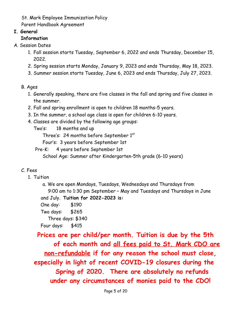St. Mark Employee Immunization Policy

Parent Handbook Agreement

#### **I. General**

#### **Information**

- A. Session Dates
	- 1. Fall session starts Tuesday, September 6, 2022 and ends Thursday, December 15, 2022.
	- 2. Spring session starts Monday, January 9, 2023 and ends Thursday, May 18, 2023.
	- 3. Summer session starts Tuesday, June 6, 2023 and ends Thursday, July 27, 2023.
	- B. Ages
		- 1. Generally speaking, there are five classes in the fall and spring and five classes in the summer.
		- 2. Fall and spring enrollment is open to children 18 months-5 years.
		- 3. In the summer, a school age class is open for children 6-10 years.
		- 4. Classes are divided by the following age groups:
			- Two's: 18 months and up

Three's: 24 months before September  $1<sup>st</sup>$ 

Four's: 3 years before September 1st

Pre-K: 4 years before September 1st

School Age: Summer after Kindergarten-5th grade (6-10 years)

#### C. Fees

- 1. Tuition
	- a. We are open Mondays, Tuesdays, Wednesdays and Thursdays from 9:00 am to 1:30 pm September – May and Tuesdays and Thursdays in June and July. **Tuition for 2022-2023 is:**
	- One day: \$190
	- Two days: \$265

Three days: \$340

Four days: \$415

**Prices are per child/per month. Tuition is due by the 5th of each month and all fees paid to St. Mark CDO are non-refundable if for any reason the school must close, especially in light of recent COVID-19 closures during the Spring of 2020. There are absolutely no refunds under any circumstances of monies paid to the CDO!**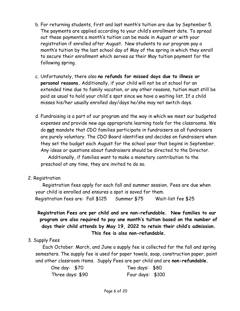- b. For returning students, first and last month's tuition are due by September 5. The payments are applied according to your child's enrollment date. To spread out these payments a month's tuition can be made in August or with your registration if enrolled after August. New students to our program pay a month's tuition by the last school day of May of the spring in which they enroll to secure their enrollment which serves as their May tuition payment for the following spring.
- c. Unfortunately, there also **no refunds for missed days due to illness or personal reasons.** Additionally, if your child will not be at school for an extended time due to family vacation, or any other reasons, tuition must still be paid as usual to hold your child's spot since we have a waiting list. If a child misses his/her usually enrolled day/days he/she may not switch days.
- d. Fundraising is a part of our program and the way in which we meet our budgeted expenses and provide new age appropriate learning tools for the classrooms. We do **not** mandate that CDO families participate in fundraisers as all fundraisers are purely voluntary. The CDO Board identifies and decides on fundraisers when they set the budget each August for the school year that begins in September. Any ideas or questions about fundraisers should be directed to the Director.

Additionally, if families want to make a monetary contribution to the preschool at any time, they are invited to do so.

2. Registration

Registration fees apply for each fall and summer session**.** Fees are due when your child is enrolled and ensures a spot is saved for them. Registration fees are: Fall \$125 Summer \$75 Wait-list fee \$25

**Registration Fees are per child and are non-refundable. New families to our program are also required to pay one month's tuition based on the number of days their child attends by May 19, 2022 to retain their child's admission. This fee is also non-refundable.**

#### 3. Supply Fees

Each October. March, and June a supply fee is collected for the fall and spring semesters. The supply fee is used for paper towels, soap, construction paper, paint and other classroom items. Supply Fees are per child and are **non-refundable.**

| One day: \$70    | Two days: \$80   |  |
|------------------|------------------|--|
| Three days: \$90 | Four days: \$100 |  |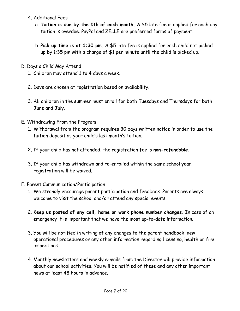- 4. Additional Fees
	- a. **Tuition is due by the 5th of each month.** A \$5 late fee is applied for each day tuition is overdue. PayPal and ZELLE are preferred forms of payment.
	- b. **Pick up time is at 1:30 pm.** A \$5 late fee is applied for each child not picked up by 1:35 pm with a charge of \$1 per minute until the child is picked up.
- D. Days a Child May Attend
	- 1. Children may attend 1 to 4 days a week.
	- 2. Days are chosen at registration based on availability.
	- 3. All children in the summer must enroll for both Tuesdays and Thursdays for both June and July.
- E. Withdrawing From the Program
	- 1. Withdrawal from the program requires 30 days written notice in order to use the tuition deposit as your child's last month's tuition.
	- 2. If your child has not attended, the registration fee is **non-refundable.**
	- 3. If your child has withdrawn and re-enrolled within the same school year, registration will be waived.
- F. Parent Communication/Participation
	- 1. We strongly encourage parent participation and feedback. Parents are always welcome to visit the school and/or attend any special events.
	- 2. **Keep us posted of any cell, home or work phone number changes.** In case of an emergency it is important that we have the most up-to-date information.
	- 3. You will be notified in writing of any changes to the parent handbook, new operational procedures or any other information regarding licensing, health or fire inspections.
	- 4. Monthly newsletters and weekly e-mails from the Director will provide information about our school activities. You will be notified of these and any other important news at least 48 hours in advance.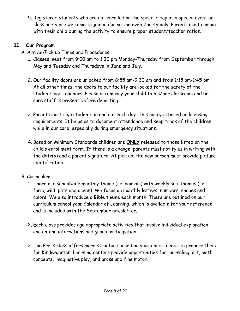5. Registered students who are not enrolled on the specific day of a special event or class party are welcome to join in during the event/party only. Parents must remain with their child during the activity to ensure proper student/teacher ratios.

#### **II. Our Program**

- A. Arrival/Pick up Times and Procedures
	- 1. Classes meet from 9:00 am to 1:30 pm Monday-Thursday from September through May and Tuesday and Thursdays in June and July.
	- 2. Our facility doors are unlocked from 8:55 am-9:30 am and from 1:15 pm-1:45 pm. At all other times, the doors to our facility are locked for the safety of the students and teachers. Please accompany your child to his/her classroom and be sure staff is present before departing.
	- 3. Parents must sign students in and out each day. This policy is based on licensing requirements. It helps us to document attendance and keep track of the children while in our care, especially during emergency situations.
	- 4. Based on Minimum Standards children are **ONLY** released to those listed on the child's enrollment form. If there is a change, parents must notify us in writing with the date(s) and a parent signature. At pick up, the new person must provide picture identification.
- B. Curriculum
	- 1. There is a schoolwide monthly theme (i.e. animals) with weekly sub-themes (i.e. farm, wild, pets and ocean). We focus on monthly letters, numbers, shapes and colors. We also introduce a Bible theme each month. These are outlined on our curriculum school year Calendar of Learning, which is available for your reference and is included with the September newsletter.
	- 2. Each class provides age appropriate activities that involve individual exploration, one on-one interactions and group participation.
	- 3. The Pre-K class offers more structure based on your child's needs to prepare them for Kindergarten. Learning centers provide opportunities for journaling, art, math concepts, imaginative play, and gross and fine motor.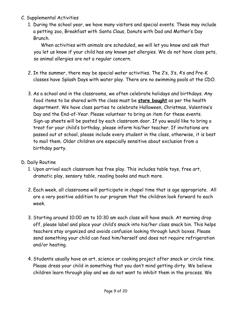- C. Supplemental Activities
	- 1. During the school year, we have many visitors and special events. These may include a petting zoo, Breakfast with Santa Claus, Donuts with Dad and Mother's Day Brunch.

When activities with animals are scheduled, we will let you know and ask that you let us know if your child has any known pet allergies. We do not have class pets, so animal allergies are not a regular concern.

- 2. In the summer, there may be special water activities. The 2's, 3's, 4's and Pre-K classes have Splash Days with water play. There are no swimming pools at the CDO.
- 3. As a school and in the classrooms, we often celebrate holidays and birthdays. Any food items to be shared with the class must be **store bought** as per the health department. We have class parties to celebrate Halloween, Christmas, Valentine's Day and the End-of-Year. Please volunteer to bring an item for these events. Sign-up sheets will be posted by each classroom door. If you would like to bring a treat for your child's birthday, please inform his/her teacher. If invitations are passed out at school, please include every student in the class, otherwise, it is best to mail them. Older children are especially sensitive about exclusion from a birthday party.
- D. Daily Routine
	- 1. Upon arrival each classroom has free play. This includes table toys, free art, dramatic play, sensory table, reading books and much more.
	- 2. Each week, all classrooms will participate in chapel time that is age appropriate. All are a very positive addition to our program that the children look forward to each week.
	- 3. Starting around 10:00 am to 10:30 am each class will have snack. At morning drop off, please label and place your child's snack into his/her class snack bin. This helps teachers stay organized and avoids confusion looking through lunch boxes. Please send something your child can feed him/herself and does not require refrigeration and/or heating.
	- 4. Students usually have an art, science or cooking project after snack or circle time. Please dress your child in something that you don't mind getting dirty. We believe children learn through play and we do not want to inhibit them in the process. We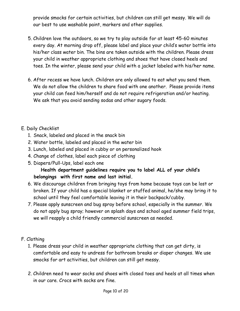provide smocks for certain activities, but children can still get messy. We will do our best to use washable paint, markers and other supplies.

- 5. Children love the outdoors, so we try to play outside for at least 45-60 minutes every day. At morning drop off, please label and place your child's water bottle into his/her class water bin. The bins are taken outside with the children. Please dress your child in weather appropriate clothing and shoes that have closed heels and toes. In the winter, please send your child with a jacket labeled with his/her name.
- 6. After recess we have lunch. Children are only allowed to eat what you send them. We do not allow the children to share food with one another. Please provide items your child can feed him/herself and do not require refrigeration and/or heating. We ask that you avoid sending sodas and other sugary foods.

#### E. Daily Checklist

- 1. Snack, labeled and placed in the snack bin
- 2. Water bottle, labeled and placed in the water bin
- 3. Lunch, labeled and placed in cubby or on personalized hook
- 4. Change of clothes, label each piece of clothing
- 5. Diapers/Pull-Ups, label each one

#### **Health department guidelines require you to label ALL of your child's belongings with first name and last initial.**

- 6. We discourage children from bringing toys from home because toys can be lost or broken. If your child has a special blanket or stuffed animal, he/she may bring it to school until they feel comfortable leaving it in their backpack/cubby.
- 7. Please apply sunscreen and bug spray before school, especially in the summer. We do not apply bug spray; however on splash days and school aged summer field trips, we will reapply a child friendly commercial sunscreen as needed.

#### F. Clothing

- 1. Please dress your child in weather appropriate clothing that can get dirty, is comfortable and easy to undress for bathroom breaks or diaper changes. We use smocks for art activities, but children can still get messy.
- 2. Children need to wear socks and shoes with closed toes and heels at all times when in our care. Crocs with socks are fine.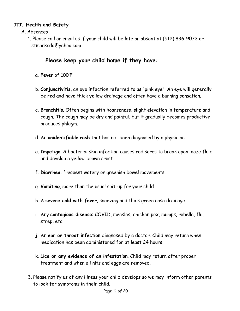#### **III. Health and Safety**

- A. Absences
	- 1. Please call or email us if your child will be late or absent at (512) 836-9073 or stmarkcdo@yahoo.com

#### **Please keep your child home if they have**:

- a. **Fever** of 100'F
- b. **Conjunctivitis**, an eye infection referred to as "pink eye". An eye will generally be red and have thick yellow drainage and often have a burning sensation.
- c. **Bronchitis**. Often begins with hoarseness, slight elevation in temperature and cough. The cough may be dry and painful, but it gradually becomes productive, produces phlegm.
- d. An **unidentifiable rash** that has not been diagnosed by a physician.
- e. **Impetigo**. A bacterial skin infection causes red sores to break open, ooze fluid and develop a yellow-brown crust.
- f. **Diarrhea**, frequent watery or greenish bowel movements.
- g. **Vomiting**, more than the usual spit-up for your child.
- h. A **severe cold with fever**, sneezing and thick green nose drainage.
- i. Any **contagious disease**: COVID, measles, chicken pox, mumps, rubella, flu, strep, etc.
- j. An **ear or throat infection** diagnosed by a doctor. Child may return when medication has been administered for at least 24 hours.
- k. **Lice or any evidence of an infestation**. Child may return after proper treatment and when all nits and eggs are removed.
- 3. Please notify us of any illness your child develops so we may inform other parents to look for symptoms in their child.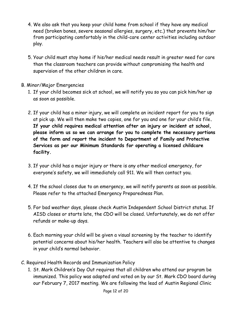- 4. We also ask that you keep your child home from school if they have any medical need (broken bones, severe seasonal allergies, surgery, etc.) that prevents him/her from participating comfortably in the child-care center activities including outdoor play.
- 5. Your child must stay home if his/her medical needs result in greater need for care than the classroom teachers can provide without compromising the health and supervision of the other children in care.
- B. Minor/Major Emergencies
	- 1. If your child becomes sick at school, we will notify you so you can pick him/her up as soon as possible.
	- 2. If your child has a minor injury, we will complete an incident report for you to sign at pick up. We will then make two copies, one for you and one for your child's file**. If your child requires medical attention after an injury or incident at school, please inform us so we can arrange for you to complete the necessary portions of the form and report the incident to Department of Family and Protective Services as per our Minimum Standards for operating a licensed childcare facility.**
	- 3. If your child has a major injury or there is any other medical emergency, for everyone's safety, we will immediately call 911. We will then contact you.
	- 4. If the school closes due to an emergency, we will notify parents as soon as possible. Please refer to the attached Emergency Preparedness Plan.
	- 5. For bad weather days, please check Austin Independent School District status. If AISD closes or starts late, the CDO will be closed. Unfortunately, we do not offer refunds or make-up days.
	- 6. Each morning your child will be given a visual screening by the teacher to identify potential concerns about his/her health. Teachers will also be attentive to changes in your child's normal behavior.
- C. Required Health Records and Immunization Policy
	- 1. St. Mark Children's Day Out requires that all children who attend our program be immunized. This policy was adapted and voted on by our St. Mark CDO board during our February 7, 2017 meeting. We are following the lead of Austin Regional Clinic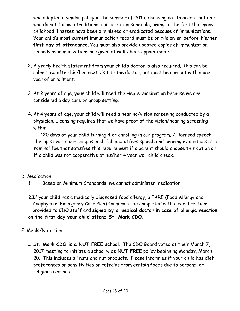who adopted a similar policy in the summer of 2015, choosing not to accept patients who do not follow a traditional immunization schedule, owing to the fact that many childhood illnesses have been diminished or eradicated because of immunizations. Your child's most current immunization record must be on file **on or before his/her first day of attendance**. You must also provide updated copies of immunization records as immunizations are given at well-check appointments.

- 2. A yearly health statement from your child's doctor is also required. This can be submitted after his/her next visit to the doctor, but must be current within one year of enrollment.
- 3. At 2 years of age, your child will need the Hep A vaccination because we are considered a day care or group setting.
- 4. At 4 years of age, your child will need a hearing/vision screening conducted by a physician. Licensing requires that we have proof of the vision/hearing screening within

120 days of your child turning 4 or enrolling in our program. A licensed speech therapist visits our campus each fall and offers speech and hearing evaluations at a nominal fee that satisfies this requirement if a parent should choose this option or if a child was not cooperative at his/her 4 year well child check.

- D. Medication
	- 1. Based on Minimum Standards, we cannot administer medication.
	- 2.If your child has a medically diagnosed food allergy, a FARE (Food Allergy and Anaphylaxis Emergency Care Plan) form must be completed with clear directions provided to CDO staff and **signed by a medical doctor in case of allergic reaction on the first day your child attend St. Mark CDO.**
- E. Meals/Nutrition
	- 1. **St. Mark CDO is a NUT FREE school**. The CDO Board voted at their March 7, 2017 meeting to initiate a school wide **NUT FREE** policy beginning Monday, March 20. This includes all nuts and nut products. Please inform us if your child has diet preferences or sensitivities or refrains from certain foods due to personal or religious reasons.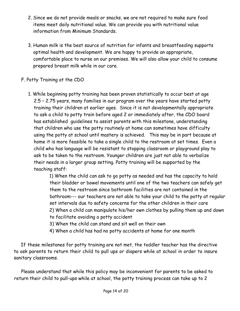- 2. Since we do not provide meals or snacks, we are not required to make sure food items meet daily nutritional value. We can provide you with nutritional value information from Minimum Standards.
- 3. Human milk is the best source of nutrition for infants and breastfeeding supports optimal health and development. We are happy to provide an appropriate, comfortable place to nurse on our premises. We will also allow your child to consume prepared breast milk while in our care.

#### F. Potty Training at the CDO

1. While beginning potty training has been proven statistically to occur best at age 2.5 – 2.75 years, many families in our program over the years have started potty training their children at earlier ages. Since it is not developmentally appropriate to ask a child to potty train before aged 2 or immediately after, the CDO board has established guidelines to assist parents with this milestone, understanding that children who use the potty routinely at home can sometimes have difficulty using the potty at school until mastery is achieved. This may be in part because at home it is more feasible to take a single child to the restroom at set times. Even a child who has language will be resistant to stopping classroom or playground play to ask to be taken to the restroom. Younger children are just not able to verbalize their needs in a larger group setting. Potty training will be supported by the teaching staff:

> 1) When the child can ask to go potty as needed and has the capacity to hold their bladder or bowel movements until one of the two teachers can safely get them to the restroom since bathroom facilities are not contained in the bathroom--- our teachers are not able to take your child to the potty at regular set intervals due to safety concerns for the other children in their care 2) When a child can manipulate his/her own clothes by pulling them up and down to facilitate avoiding a potty accident

- 3) When the child can stand and sit well on their own
- 4) When a child has had no potty accidents at home for one month

If these milestones for potty training are not met, the toddler teacher has the directive to ask parents to return their child to pull ups or diapers while at school in order to insure sanitary classrooms.

Please understand that while this policy may be inconvenient for parents to be asked to return their child to pull-ups while at school, the potty training process can take up to 2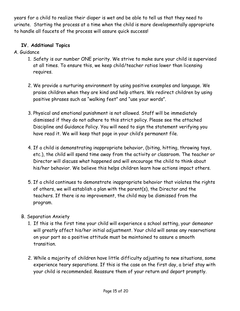years for a child to realize their diaper is wet and be able to tell us that they need to urinate. Starting the process at a time when the child is more developmentally appropriate to handle all faucets of the process will assure quick success!

#### **IV. Additional Topics**

- A. Guidance
	- 1. Safety is our number ONE priority. We strive to make sure your child is supervised at all times. To ensure this, we keep child/teacher ratios lower than licensing requires.
	- 2. We provide a nurturing environment by using positive examples and language. We praise children when they are kind and help others. We redirect children by using positive phrases such as "walking feet" and "use your words".
	- 3. Physical and emotional punishment is not allowed. Staff will be immediately dismissed if they do not adhere to this strict policy. Please see the attached Discipline and Guidance Policy. You will need to sign the statement verifying you have read it. We will keep that page in your child's permanent file.
	- 4. If a child is demonstrating inappropriate behavior, (biting, hitting, throwing toys, etc.), the child will spend time away from the activity or classroom. The teacher or Director will discuss what happened and will encourage the child to think about his/her behavior. We believe this helps children learn how actions impact others.
	- 5. If a child continues to demonstrate inappropriate behavior that violates the rights of others, we will establish a plan with the parent(s), the Director and the teachers. If there is no improvement, the child may be dismissed from the program.

#### B. Separation Anxiety

- 1. If this is the first time your child will experience a school setting, your demeanor will greatly affect his/her initial adjustment. Your child will sense any reservations on your part so a positive attitude must be maintained to assure a smooth transition.
- 2. While a majority of children have little difficulty adjusting to new situations, some experience teary separations. If this is the case on the first day, a brief stay with your child is recommended. Reassure them of your return and depart promptly.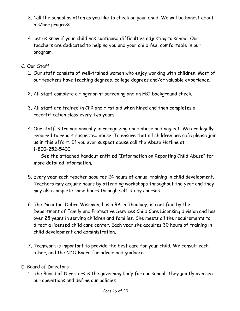- 3. Call the school as often as you like to check on your child. We will be honest about his/her progress.
- 4. Let us know if your child has continued difficulties adjusting to school. Our teachers are dedicated to helping you and your child feel comfortable in our program.
- C. Our Staff
	- 1. Our staff consists of well-trained women who enjoy working with children. Most of our teachers have teaching degrees, college degrees and/or valuable experience.
	- 2. All staff complete a fingerprint screening and an FBI background check.
	- 3. All staff are trained in CPR and first aid when hired and then completes a recertification class every two years.
	- 4. Our staff is trained annually in recognizing child abuse and neglect. We are legally required to report suspected abuse. To ensure that all children are safe please join us in this effort. If you ever suspect abuse call the Abuse Hotline at 1–800–252–5400.

See the attached handout entitled "Information on Reporting Child Abuse" for more detailed information.

- 5. Every year each teacher acquires 24 hours of annual training in child development. Teachers may acquire hours by attending workshops throughout the year and they may also complete some hours through self-study courses.
- 6. The Director, Debra Wissman, has a BA in Theology, is certified by the Department of Family and Protective Services Child Care Licensing division and has over 25 years in serving children and families. She meets all the requirements to direct a licensed child care center. Each year she acquires 30 hours of training in child development and administration.
- 7. Teamwork is important to provide the best care for your child. We consult each other, and the CDO Board for advice and guidance.
- D. Board of Directors
	- 1. The Board of Directors is the governing body for our school. They jointly oversee our operations and define our policies.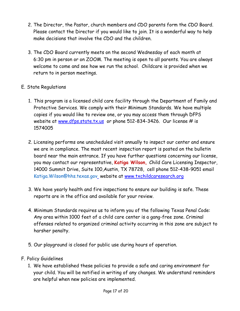- 2. The Director, the Pastor, church members and CDO parents form the CDO Board. Please contact the Director if you would like to join. It is a wonderful way to help make decisions that involve the CDO and the children.
- 3. The CDO Board currently meets on the second Wednesday of each month at 6:30 pm in person or on ZOOM. The meeting is open to all parents. You are always welcome to come and see how we run the school. Childcare is provided when we return to in person meetings.

#### E. State Regulations

- 1. This program is a licensed child care facility through the Department of Family and Protective Services. We comply with their Minimum Standards. We have multiple copies if you would like to review one, or you may access them through DFPS website at [www.dfps.state.tx.us](http://www.dfps.state.tx.us/) or phone 512-834-3426. Our license # is 1574005
- 2. Licensing performs one unscheduled visit annually to inspect our center and ensure we are in compliance. The most recent inspection report is posted on the bulletin board near the main entrance. If you have further questions concerning our license, you may contact our representative, **Katiga Wilson,** Child Care Licensing Inspector, 14000 Summit Drive, Suite 100,Austin, TX 78728, cell phone 512-438-9051 email Katiga. Wilson@hhs.texas.gov\_website at [www.txchildcaresearch.org](http://www.txchildcaresearch.org/)
- 3. We have yearly health and fire inspections to ensure our building is safe. These reports are in the office and available for your review.
- 4. Minimum Standards requires us to inform you of the following Texas Penal Code: Any area within 1000 feet of a child care center is a gang-free zone. Criminal offenses related to organized criminal activity occurring in this zone are subject to harsher penalty.
- 5. Our playground is closed for public use during hours of operation.
- F. Policy Guidelines
	- 1. We have established these policies to provide a safe and caring environment for your child. You will be notified in writing of any changes. We understand reminders are helpful when new policies are implemented.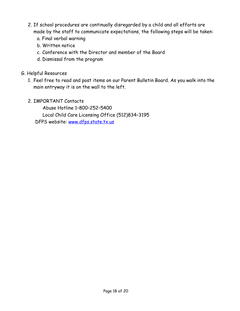- 2. If school procedures are continually disregarded by a child and all efforts are made by the staff to communicate expectations, the following steps will be taken:
	- a. Final verbal warning
	- b. Written notice
	- c. Conference with the Director and member of the Board
	- d. Dismissal from the program
- G. Helpful Resources
	- 1. Feel free to read and post items on our Parent Bulletin Board. As you walk into the main entryway it is on the wall to the left.
	- 2. IMPORTANT Contacts

Abuse Hotline 1–800–252–5400 Local Child Care Licensing Office (512)834–3195 DFPS website: [www.dfps.state.tx.us](http://www.dfps.state.tx.us/)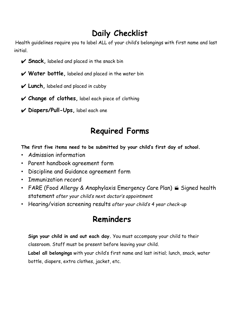## **Daily Checklist**

Health guidelines require you to label ALL of your child's belongings with first name and last initial.

- ✔ **Snack,** labeled and placed in the snack bin
- ✔ **Water bottle,** labeled and placed in the water bin
- ✔ **Lunch,** labeled and placed in cubby
- ✔ **Change of clothes,** label each piece of clothing
- ✔ **Diapers/Pull-Ups,** label each one

## **Required Forms**

**The first five items need to be submitted by your child's first day of school***.*

- Admission information
- Parent handbook agreement form
- Discipline and Guidance agreement form
- Immunization record
- FARE (Food Allergy & Anaphylaxis Emergency Care Plan) **S** Signed health statement *after your child's next doctor's appointment*
- Hearing/vision screening results *after your child's 4 year check-up*

### **Reminders**

**Sign your child in and out each day.** You must accompany your child to their classroom. Staff must be present before leaving your child.

**Label all belongings** with your child's first name and last initial; lunch, snack, water bottle, diapers, extra clothes, jacket, etc.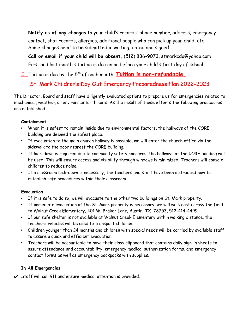**Notify us of any changes** to your child's records; phone number, address, emergency contact, shot records, allergies, additional people who can pick up your child, etc. Some changes need to be submitted in writing, dated and signed.

**Call or email if your child will be absent,** (512) 836-9073, stmarkcdo@yahoo.com First and last month's tuition is due on or before your child's first day of school.

**U** Tuition is due by the 5<sup>th</sup> of each month. **Tuition is non-refundable.** 

#### St. Mark Children's Day Out Emergency Preparedness Plan 2022-2023

The Director, Board and staff have diligently evaluated options to prepare us for emergencies related to mechanical, weather, or environmental threats. As the result of these efforts the following procedures are established.

#### **Containment**

- When it is safest to remain inside due to environmental factors, the hallways of the CORE building are deemed the safest place.
- If evacuation to the main church hallway is possible, we will enter the church office via the sidewalk to the door nearest the CORE building.
- If lock-down is required due to community safety concerns, the hallways of the CORE building will be used. This will ensure access and visibility through windows is minimized. Teachers will console children to reduce noise.
- If a classroom lock-down is necessary, the teachers and staff have been instructed how to establish safe procedures within their classroom.

#### **Evacuation**

- If it is safe to do so, we will evacuate to the other two buildings on St. Mark property.
- If immediate evacuation of the St. Mark property is necessary, we will walk east across the field to Walnut Creek Elementary, 401 W. Braker Lane, Austin, TX 78753, 512-414-4499.
- If our safe shelter is not available at Walnut Creek Elementary within walking distance, the teacher's vehicles will be used to transport children.
- Children younger than 24 months and children with special needs will be carried by available staff to assure a quick and efficient evacuation.
- Teachers will be accountable to have their class clipboard that contains daily sign-in sheets to assure attendance and accountability, emergency medical authorization forms, and emergency contact forms as well as emergency backpacks with supplies.

#### **In All Emergencies**

 $\checkmark$  Staff will call 911 and ensure medical attention is provided.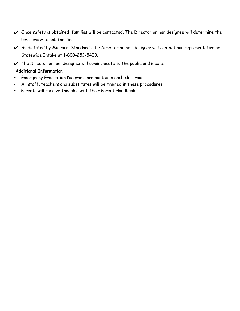- ✔ Once safety is obtained, families will be contacted. The Director or her designee will determine the best order to call families.
- ✔ As dictated by Minimum Standards the Director or her designee will contact our representative or Statewide Intake at 1-800-252-5400.
- $\vee$  The Director or her designee will communicate to the public and media.

#### **Additional Information**

- Emergency Evacuation Diagrams are posted in each classroom.
- All staff, teachers and substitutes will be trained in these procedures.
- Parents will receive this plan with their Parent Handbook.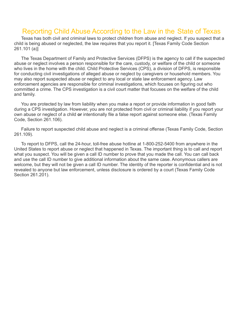#### Reporting Child Abuse According to the Law in the State of Texas

Texas has both civil and criminal laws to protect children from abuse and neglect. If you suspect that a child is being abused or neglected, the law requires that you report it. [Texas Family Code Section 261.101 (a)]

The Texas Department of Family and Protective Services (DFPS) is the agency to call if the suspected abuse or neglect involves a person responsible for the care, custody, or welfare of the child or someone who lives in the home with the child. Child Protective Services (CPS), a division of DFPS, is responsible for conducting civil investigations of alleged abuse or neglect by caregivers or household members. You may also report suspected abuse or neglect to any local or state law enforcement agency. Law enforcement agencies are responsible for criminal investigations, which focuses on figuring out who committed a crime. The CPS investigation is a civil court matter that focuses on the welfare of the child and family.

You are protected by law from liability when you make a report or provide information in good faith during a CPS investigation. However, you are not protected from civil or criminal liability if you report your own abuse or neglect of a child **or** intentionally file a false report against someone else. (Texas Family Code, Section 261.106).

Failure to report suspected child abuse and neglect is a criminal offense (Texas Family Code, Section 261.109).

To report to DFPS, call the 24-hour, toll-free abuse hotline at 1-800-252-5400 from anywhere in the United States to report abuse or neglect that happened in Texas. The important thing is to call and report what you suspect. You will be given a call ID number to prove that you made the call. You can call back and use the call ID number to give additional information about the same case. Anonymous callers are welcome, but they will not be given a call ID number. The identity of the reporter is confidential and is not revealed to anyone but law enforcement, unless disclosure is ordered by a court (Texas Family Code Section 261.201).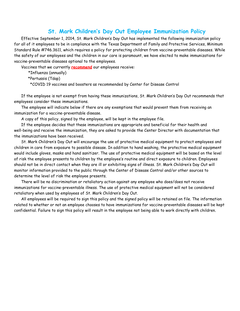#### **St. Mark Children's Day Out Employee Immunization Policy**

Effective September 1, 2014, St. Mark Children's Day Out has implemented the following immunization policy for all of it employees to be in compliance with the Texas Department of Family and Protective Services, Minimum Standard Rule #746.3611, which requires a policy for protecting children from vaccine-preventable diseases. While the safety of our employees and the children in our care is paramount, we have elected to make immunizations for vaccine-preventable diseases optional to the employees.

Vaccines that we currently **recommend** our employees receive:

\*Influenza (annually)

\*Pertussis (Tdap)

\*COVID 19 vaccines and boosters as recommended by Center for Disease Control

If the employee is not exempt from having these immunizations, St. Mark Children's Day Out recommends that employees consider these immunizations.

The employee will indicate below if there are any exemptions that would prevent them from receiving an immunization for a vaccine-preventable disease.

A copy of this policy, signed by the employee, will be kept in the employee file.

If the employee decides that these immunizations are appropriate and beneficial for their health and well-being and receive the immunization, they are asked to provide the Center Director with documentation that the immunizations have been received.

St. Mark Children's Day Out will encourage the use of protective medical equipment to protect employees and children in care from exposure to possible disease. In addition to hand washing, the protective medical equipment would include gloves, masks and hand sanitizer. The use of protective medical equipment will be based on the level of risk the employee presents to children by the employee's routine and direct exposure to children. Employees should not be in direct contact when they are ill or exhibiting signs of illness. St. Mark Children's Day Out will monitor information provided to the public through the Center of Disease Control and/or other sources to determine the level of risk the employee presents.

There will be no discrimination or retaliatory action against any employee who does/does not receive immunizations for vaccine-preventable illness. The use of protective medical equipment will not be considered retaliatory when used by employees of St. Mark Children's Day Out.

All employees will be required to sign this policy and the signed policy will be retained on file. The information related to whether or not an employee chooses to have immunizations for vaccine-preventable diseases will be kept confidential. Failure to sign this policy will result in the employee not being able to work directly with children.